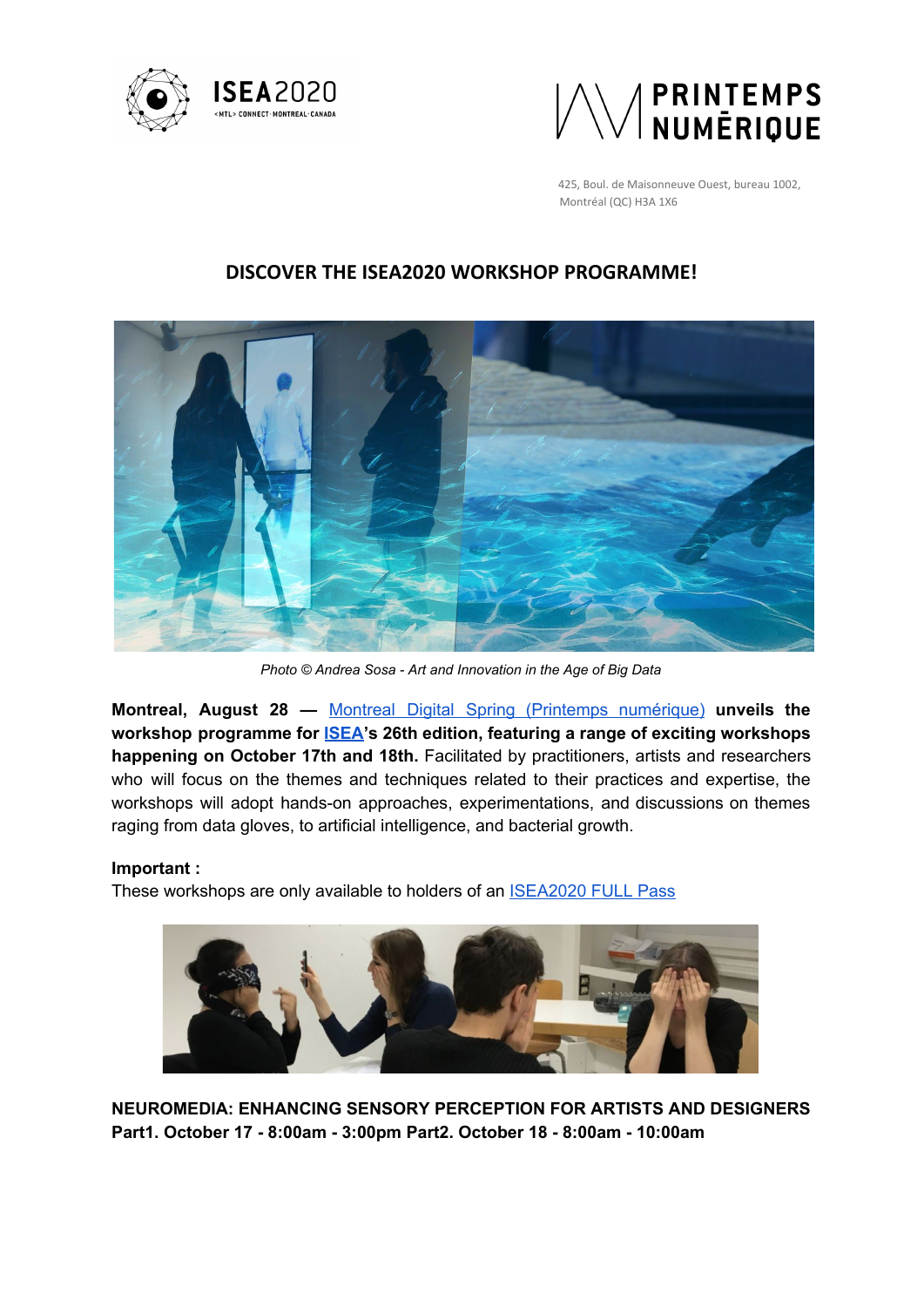



425, Boul. de Maisonneuve Ouest, bureau 1002, Montréal (QC) H3A 1X6

# **DISCOVER THE ISEA2020 WORKSHOP PROGRAMME!**



*Photo © Andrea Sosa - Art and Innovation in the Age of Big Data*

**Montreal, August 28 —** Montreal Digital Spring (Printemps [numérique\)](https://www.printempsnumerique.ca/) **unveils the workshop programme for [ISEA'](http://isea2020.isea-international.org/)s 26th edition, featuring a range of exciting workshops happening on October 17th and 18th.** Facilitated by practitioners, artists and researchers who will focus on the themes and techniques related to their practices and expertise, the workshops will adopt hands-on approaches, experimentations, and discussions on themes raging from data gloves, to artificial intelligence, and bacterial growth.

## **Important :**

These workshops are only available to holders of an **[ISEA2020](http://isea2020.isea-international.org/registration/) FULL Pass** 



**NEUROMEDIA: ENHANCING SENSORY PERCEPTION FOR ARTISTS AND DESIGNERS Part1. October 17 - 8:00am - 3:00pm Part2. October 18 - 8:00am - 10:00am**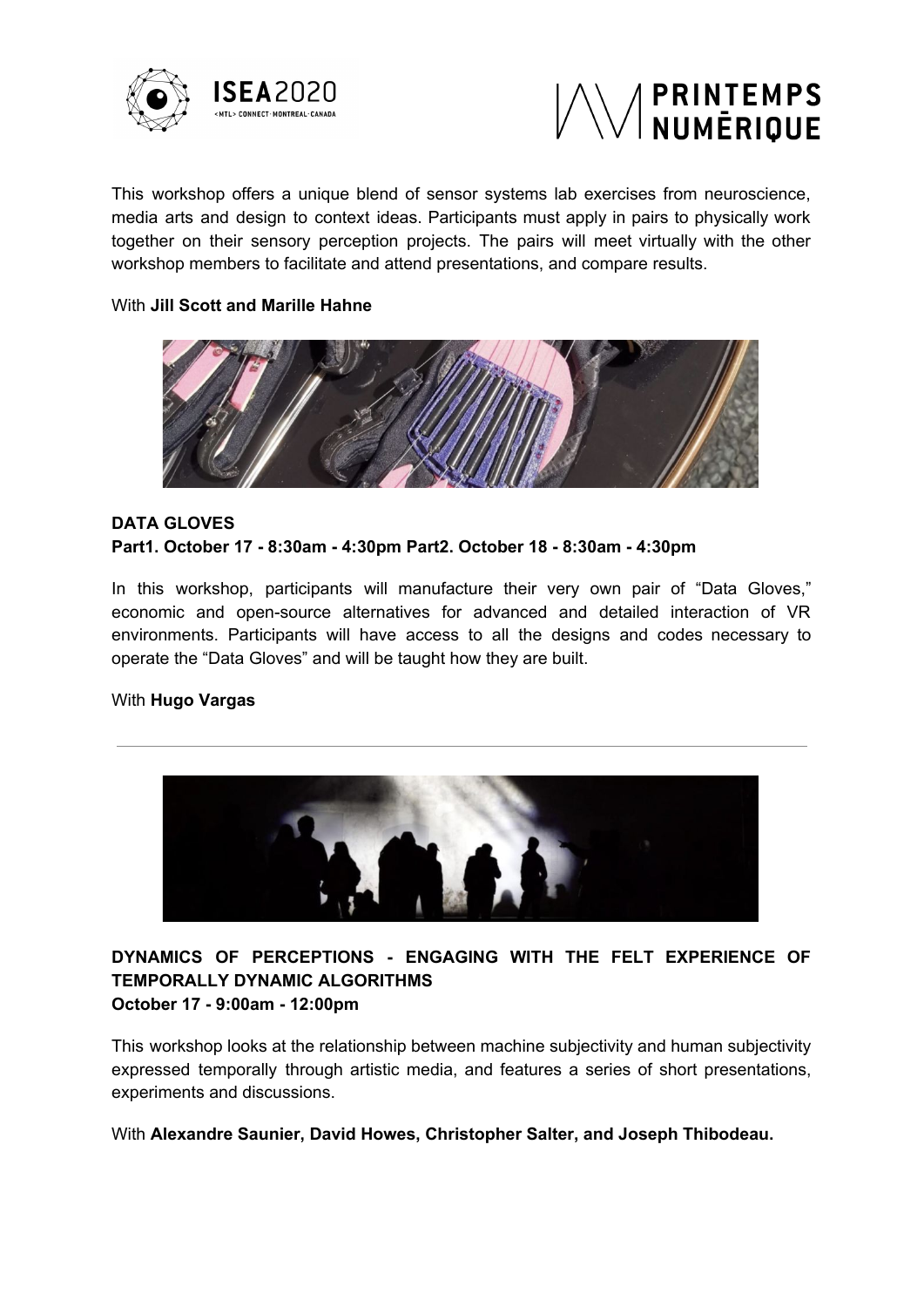



This workshop offers a unique blend of sensor systems lab exercises from neuroscience, media arts and design to context ideas. Participants must apply in pairs to physically work together on their sensory perception projects. The pairs will meet virtually with the other workshop members to facilitate and attend presentations, and compare results.

## With **Jill Scott and Marille Hahne**



# **DATA GLOVES Part1. October 17 - 8:30am - 4:30pm Part2. October 18 - 8:30am - 4:30pm**

In this workshop, participants will manufacture their very own pair of "Data Gloves," economic and open-source alternatives for advanced and detailed interaction of VR environments. Participants will have access to all the designs and codes necessary to operate the "Data Gloves" and will be taught how they are built.

#### With **Hugo Vargas**



# **DYNAMICS OF PERCEPTIONS - ENGAGING WITH THE FELT EXPERIENCE OF TEMPORALLY DYNAMIC ALGORITHMS October 17 - 9:00am - 12:00pm**

This workshop looks at the relationship between machine subjectivity and human subjectivity expressed temporally through artistic media, and features a series of short presentations, experiments and discussions.

With **Alexandre Saunier, David Howes, Christopher Salter, and Joseph Thibodeau.**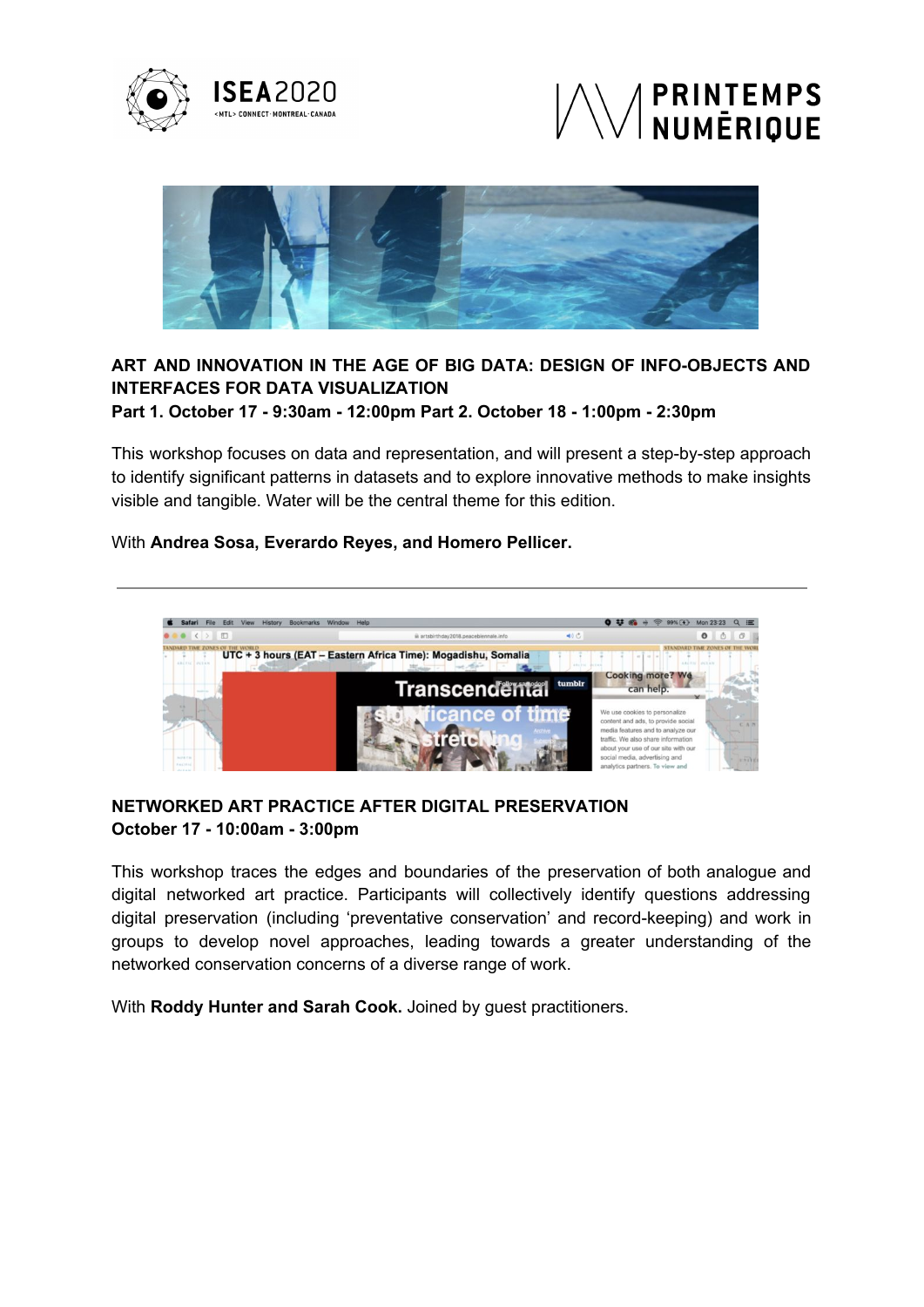





# **ART AND INNOVATION IN THE AGE OF BIG DATA: DESIGN OF INFO-OBJECTS AND INTERFACES FOR DATA VISUALIZATION**

**Part 1. October 17 - 9:30am - 12:00pm Part 2. October 18 - 1:00pm - 2:30pm**

This workshop focuses on data and representation, and will present a step-by-step approach to identify significant patterns in datasets and to explore innovative methods to make insights visible and tangible. Water will be the central theme for this edition.

## With **Andrea Sosa, Everardo Reyes, and Homero Pellicer.**



## **NETWORKED ART PRACTICE AFTER DIGITAL PRESERVATION October 17 - 10:00am - 3:00pm**

This workshop traces the edges and boundaries of the preservation of both analogue and digital networked art practice. Participants will collectively identify questions addressing digital preservation (including 'preventative conservation' and record-keeping) and work in groups to develop novel approaches, leading towards a greater understanding of the networked conservation concerns of a diverse range of work.

With **Roddy Hunter and Sarah Cook.** Joined by guest practitioners.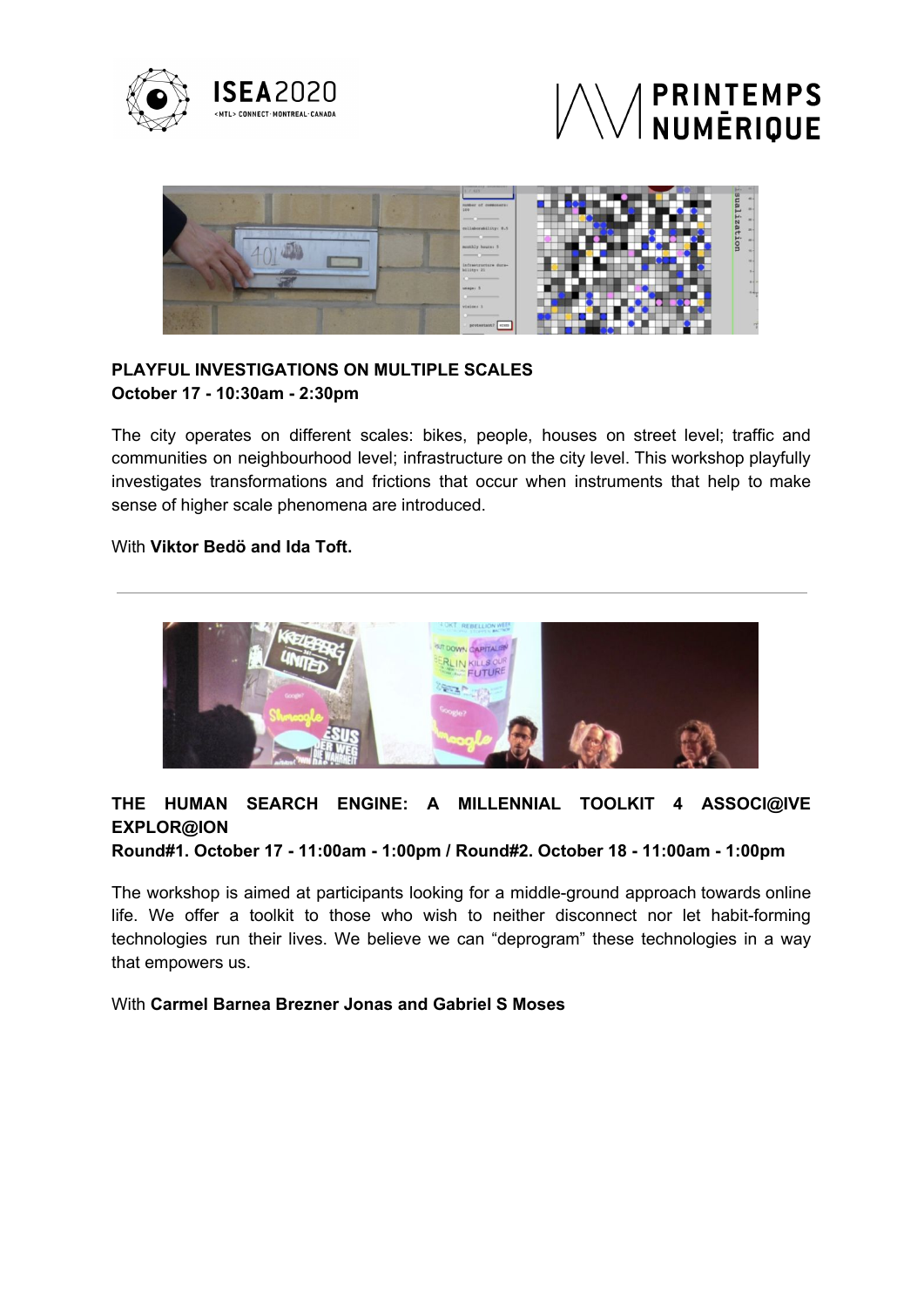





# **PLAYFUL INVESTIGATIONS ON MULTIPLE SCALES October 17 - 10:30am - 2:30pm**

The city operates on different scales: bikes, people, houses on street level; traffic and communities on neighbourhood level; infrastructure on the city level. This workshop playfully investigates transformations and frictions that occur when instruments that help to make sense of higher scale phenomena are introduced.

## With **Viktor Bedö and Ida Toft.**



# **THE HUMAN SEARCH ENGINE: A MILLENNIAL TOOLKIT 4 ASSOCI@IVE EXPLOR@ION**

**Round#1. October 17 - 11:00am - 1:00pm / Round#2. October 18 - 11:00am - 1:00pm**

The workshop is aimed at participants looking for a middle-ground approach towards online life. We offer a toolkit to those who wish to neither disconnect nor let habit-forming technologies run their lives. We believe we can "deprogram" these technologies in a way that empowers us.

#### With **Carmel Barnea Brezner Jonas and Gabriel S Moses**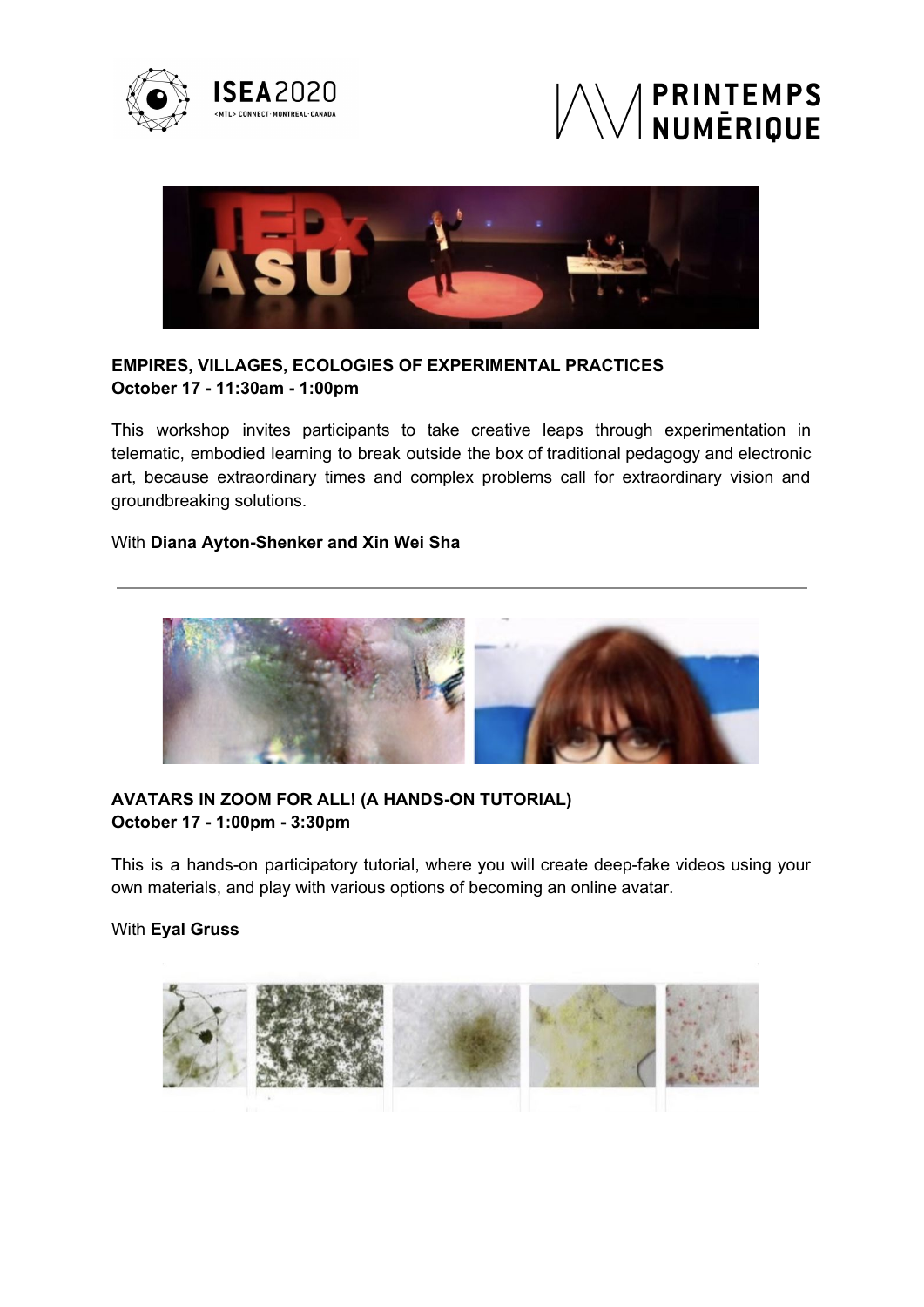





# **EMPIRES, VILLAGES, ECOLOGIES OF EXPERIMENTAL PRACTICES October 17 - 11:30am - 1:00pm**

This workshop invites participants to take creative leaps through experimentation in telematic, embodied learning to break outside the box of traditional pedagogy and electronic art, because extraordinary times and complex problems call for extraordinary vision and groundbreaking solutions.

## With **Diana Ayton-Shenker and Xin Wei Sha**



## **AVATARS IN ZOOM FOR ALL! (A HANDS-ON TUTORIAL) October 17 - 1:00pm - 3:30pm**

This is a hands-on participatory tutorial, where you will create deep-fake videos using your own materials, and play with various options of becoming an online avatar.

## With **Eyal Gruss**